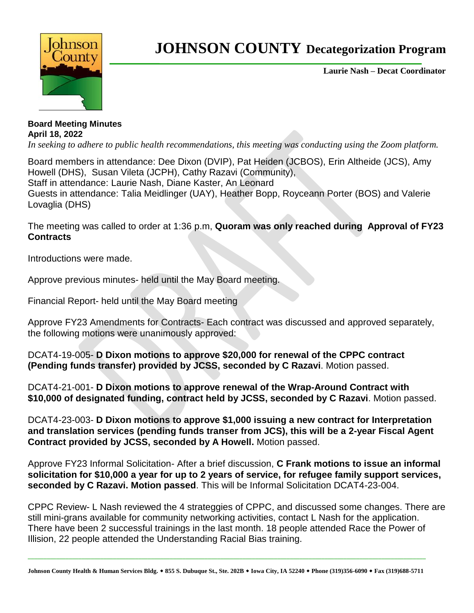

## **JOHNSON COUNTY Decategorization Program**

**Laurie Nash – Decat Coordinator**

## **Board Meeting Minutes April 18, 2022**

*In seeking to adhere to public health recommendations, this meeting was conducting using the Zoom platform.* 

Board members in attendance: Dee Dixon (DVIP), Pat Heiden (JCBOS), Erin Altheide (JCS), Amy Howell (DHS), Susan Vileta (JCPH), Cathy Razavi (Community), Staff in attendance: Laurie Nash, Diane Kaster, An Leonard Guests in attendance: Talia Meidlinger (UAY), Heather Bopp, Royceann Porter (BOS) and Valerie Lovaglia (DHS)

The meeting was called to order at 1:36 p.m, **Quoram was only reached during Approval of FY23 Contracts**

Introductions were made.

Approve previous minutes- held until the May Board meeting.

Financial Report- held until the May Board meeting

Approve FY23 Amendments for Contracts- Each contract was discussed and approved separately, the following motions were unanimously approved:

DCAT4-19-005- **D Dixon motions to approve \$20,000 for renewal of the CPPC contract (Pending funds transfer) provided by JCSS, seconded by C Razavi**. Motion passed.

DCAT4-21-001- **D Dixon motions to approve renewal of the Wrap-Around Contract with \$10,000 of designated funding, contract held by JCSS, seconded by C Razavi**. Motion passed.

DCAT4-23-003- **D Dixon motions to approve \$1,000 issuing a new contract for Interpretation and translation services (pending funds transer from JCS), this will be a 2-year Fiscal Agent Contract provided by JCSS, seconded by A Howell.** Motion passed.

Approve FY23 Informal Solicitation- After a brief discussion, **C Frank motions to issue an informal solicitation for \$10,000 a year for up to 2 years of service, for refugee family support services, seconded by C Razavi. Motion passed**. This will be Informal Solicitation DCAT4-23-004.

CPPC Review- L Nash reviewed the 4 strateggies of CPPC, and discussed some changes. There are still mini-grans available for community networking activities, contact L Nash for the application. There have been 2 successful trainings in the last month. 18 people attended Race the Power of Illision, 22 people attended the Understanding Racial Bias training.